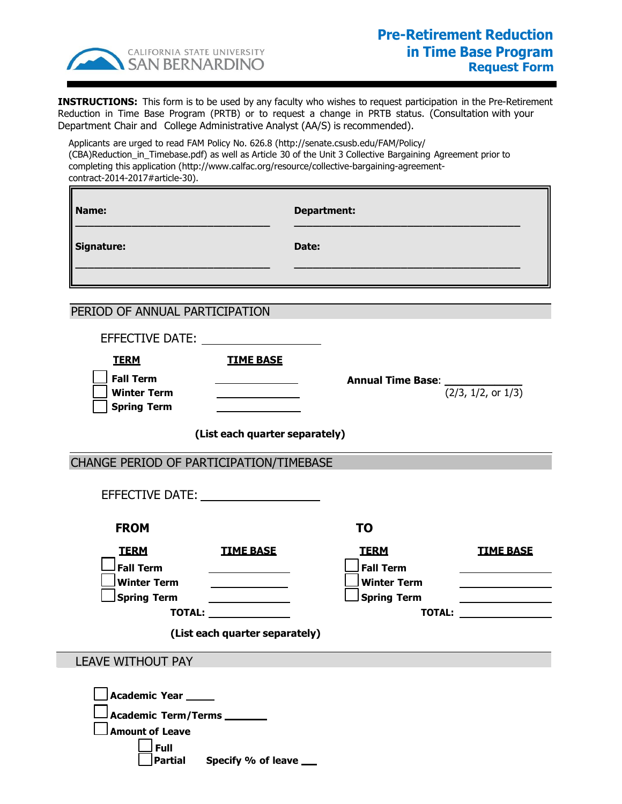

Г

**INSTRUCTIONS:** This form is to be used by any faculty who wishes to request participation in the Pre-Retirement Reduction in Time Base Program (PRTB) or to request a change in PRTB status. (Consultation with your Department Chair and College Administrative Analyst (AA/S) is recommended).

Applicants are urged to read FAM Policy No. 626.8 (http://senate.csusb.edu/FAM/Policy/ (CBA)Reduction\_in\_Timebase.pdf) as well as Article 30 of the Unit 3 Collective Bargaining Agreement prior to completing this application (http://[www.calfac.org/resource/collective-bargaining-agreement](http://academicpersonnel.csusb.edu/FAM/resignationRetirement/fam720.htm))contract-2014-2017#article-30).

| Name:      | <b>Department:</b> |
|------------|--------------------|
| Signature: | Date:              |
|            |                    |

PERIOD OF ANNUAL PARTICIPATION

| EFFECTIVE DATE:<br><b>TERM</b><br><b>Fall Term</b><br><b>Winter Term</b><br><b>Spring Term</b>                 | <b>TIME BASE</b><br>(List each quarter separately)              | <b>Annual Time Base:</b> $\frac{1}{(2/3, 1/2, \text{or } 1/3)}$ |                                                                                                                                                                                                                                      |
|----------------------------------------------------------------------------------------------------------------|-----------------------------------------------------------------|-----------------------------------------------------------------|--------------------------------------------------------------------------------------------------------------------------------------------------------------------------------------------------------------------------------------|
|                                                                                                                |                                                                 |                                                                 |                                                                                                                                                                                                                                      |
| CHANGE PERIOD OF PARTICIPATION/TIMEBASE                                                                        |                                                                 |                                                                 |                                                                                                                                                                                                                                      |
| EFFECTIVE DATE: THE SERVICE OF THE STATE OF THE STATE OF THE STATE OF THE STATE OF THE STATE OF THE STATE OF T |                                                                 |                                                                 |                                                                                                                                                                                                                                      |
| <b>FROM</b>                                                                                                    |                                                                 | <b>TO</b>                                                       |                                                                                                                                                                                                                                      |
| <b>TERM</b>                                                                                                    | <b>TIME BASE</b>                                                | <b>TERM</b>                                                     | <b>TIME BASE</b>                                                                                                                                                                                                                     |
| <b>Fall Term</b>                                                                                               |                                                                 | <b>Fall Term</b>                                                |                                                                                                                                                                                                                                      |
| <b>Winter Term</b><br><b>Spring Term</b>                                                                       |                                                                 | <b>Winter Term</b><br><b>Spring Term</b>                        |                                                                                                                                                                                                                                      |
|                                                                                                                | <u> 1989 - Johann Barbara, martin a</u><br><b>TOTAL:</b> TOTAL: | <b>TOTAL:</b>                                                   | <u>and the state of the state of the state of the state of the state of the state of the state of the state of the state of the state of the state of the state of the state of the state of the state of the state of the state</u> |
|                                                                                                                | (List each quarter separately)                                  |                                                                 |                                                                                                                                                                                                                                      |
| <b>LEAVE WITHOUT PAY</b>                                                                                       |                                                                 |                                                                 |                                                                                                                                                                                                                                      |
| Academic Year _____<br><b>Academic Term/Terms</b> ________<br><b>Amount of Leave</b><br>Full                   | Partial Specify % of leave ___                                  |                                                                 |                                                                                                                                                                                                                                      |